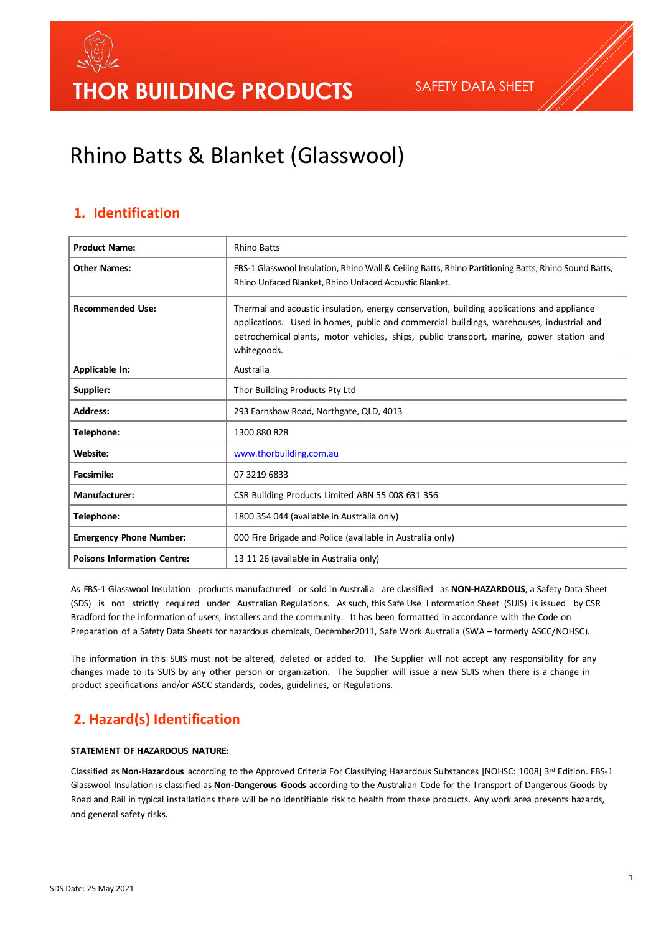# Rhino Batts & Blanket (Glasswool)

#### **1. Identification**

| <b>Product Name:</b>               | <b>Rhino Batts</b>                                                                                                                                                                                                                                                                               |
|------------------------------------|--------------------------------------------------------------------------------------------------------------------------------------------------------------------------------------------------------------------------------------------------------------------------------------------------|
| <b>Other Names:</b>                | FBS-1 Glasswool Insulation, Rhino Wall & Ceiling Batts, Rhino Partitioning Batts, Rhino Sound Batts,<br>Rhino Unfaced Blanket, Rhino Unfaced Acoustic Blanket.                                                                                                                                   |
| <b>Recommended Use:</b>            | Thermal and acoustic insulation, energy conservation, building applications and appliance<br>applications. Used in homes, public and commercial buildings, warehouses, industrial and<br>petrochemical plants, motor vehicles, ships, public transport, marine, power station and<br>whitegoods. |
| <b>Applicable In:</b>              | Australia                                                                                                                                                                                                                                                                                        |
| Supplier:                          | Thor Building Products Pty Ltd                                                                                                                                                                                                                                                                   |
| <b>Address:</b>                    | 293 Earnshaw Road, Northgate, QLD, 4013                                                                                                                                                                                                                                                          |
| Telephone:                         | 1300 880 828                                                                                                                                                                                                                                                                                     |
| Website:                           | www.thorbuilding.com.au                                                                                                                                                                                                                                                                          |
| <b>Facsimile:</b>                  | 07 3219 6833                                                                                                                                                                                                                                                                                     |
| <b>Manufacturer:</b>               | CSR Building Products Limited ABN 55 008 631 356                                                                                                                                                                                                                                                 |
| Telephone:                         | 1800 354 044 (available in Australia only)                                                                                                                                                                                                                                                       |
| <b>Emergency Phone Number:</b>     | 000 Fire Brigade and Police (available in Australia only)                                                                                                                                                                                                                                        |
| <b>Poisons Information Centre:</b> | 13 11 26 (available in Australia only)                                                                                                                                                                                                                                                           |

As FBS-1 Glasswool Insulation products manufactured or sold in Australia are classified as **NON-HAZARDOUS**, a Safety Data Sheet (SDS) is not strictly required under Australian Regulations. As such, this Safe Use I nformation Sheet (SUIS) is issued by CSR Bradford for the information of users, installers and the community. It has been formatted in accordance with the Code on Preparation of a Safety Data Sheets for hazardous chemicals, December2011, Safe Work Australia (SWA – formerly ASCC/NOHSC).

The information in this SUIS must not be altered, deleted or added to. The Supplier will not accept any responsibility for any changes made to its SUIS by any other person or organization. The Supplier will issue a new SUIS when there is a change in product specifications and/or ASCC standards, codes, guidelines, or Regulations.

### **2. Hazard(s) Identification**

#### **STATEMENT OF HAZARDOUS NATURE:**

Classified as **Non-Hazardous** according to the Approved Criteria For Classifying Hazardous Substances [NOHSC: 1008] 3rd Edition. FBS-1 Glasswool Insulation is classified as **Non-Dangerous Goods** according to the Australian Code for the Transport of Dangerous Goods by Road and RaiI in typical installations there will be no identifiable risk to health from these products. Any work area presents hazards, and general safety risks.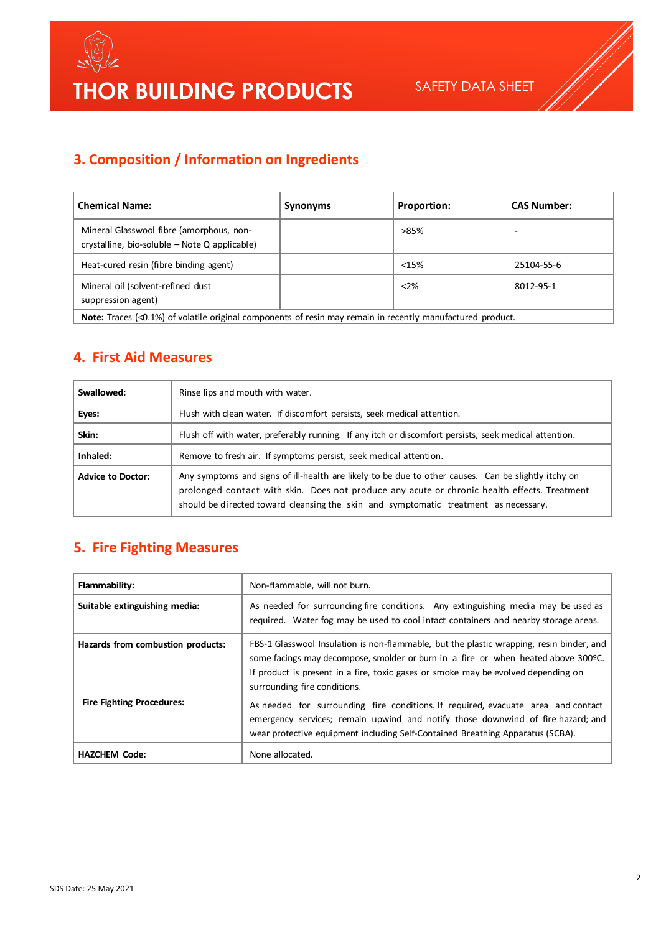

## **3. Composition / Information on Ingredients**

| <b>Chemical Name:</b>                                                                                             | Synonyms | <b>Proportion:</b> | <b>CAS Number:</b> |
|-------------------------------------------------------------------------------------------------------------------|----------|--------------------|--------------------|
| Mineral Glasswool fibre (amorphous, non-<br>crystalline, bio-soluble $-$ Note Q applicable)                       |          | >85%               | ۰                  |
| Heat-cured resin (fibre binding agent)                                                                            |          | < 15%              | 25104-55-6         |
| Mineral oil (solvent-refined dust<br>suppression agent)                                                           |          | < 2%               | 8012-95-1          |
| <b>Note:</b> Traces (<0.1%) of volatile original components of resin may remain in recently manufactured product. |          |                    |                    |

#### **4. First Aid Measures**

| Swallowed:               | Rinse lips and mouth with water.                                                                                                                                                                                                                                                            |
|--------------------------|---------------------------------------------------------------------------------------------------------------------------------------------------------------------------------------------------------------------------------------------------------------------------------------------|
| Eyes:                    | Flush with clean water. If discomfort persists, seek medical attention.                                                                                                                                                                                                                     |
| Skin:                    | Flush off with water, preferably running. If any itch or discomfort persists, seek medical attention.                                                                                                                                                                                       |
| Inhaled:                 | Remove to fresh air. If symptoms persist, seek medical attention.                                                                                                                                                                                                                           |
| <b>Advice to Doctor:</b> | Any symptoms and signs of ill-health are likely to be due to other causes. Can be slightly itchy on<br>prolonged contact with skin. Does not produce any acute or chronic health effects. Treatment<br>should be directed toward cleansing the skin and symptomatic treatment as necessary. |

### **5. Fire Fighting Measures**

| Flammability:                     | Non-flammable, will not burn.                                                                                                                                                                                                                                                                       |
|-----------------------------------|-----------------------------------------------------------------------------------------------------------------------------------------------------------------------------------------------------------------------------------------------------------------------------------------------------|
| Suitable extinguishing media:     | As needed for surrounding fire conditions. Any extinguishing media may be used as<br>required. Water fog may be used to cool intact containers and nearby storage areas.                                                                                                                            |
| Hazards from combustion products: | FBS-1 Glasswool Insulation is non-flammable, but the plastic wrapping, resin binder, and<br>some facings may decompose, smolder or burn in a fire or when heated above 300 °C.<br>If product is present in a fire, toxic gases or smoke may be evolved depending on<br>surrounding fire conditions. |
| <b>Fire Fighting Procedures:</b>  | As needed for surrounding fire conditions. If required, evacuate area and contact<br>emergency services; remain upwind and notify those downwind of fire hazard; and<br>wear protective equipment including Self-Contained Breathing Apparatus (SCBA).                                              |
| <b>HAZCHEM Code:</b>              | None allocated.                                                                                                                                                                                                                                                                                     |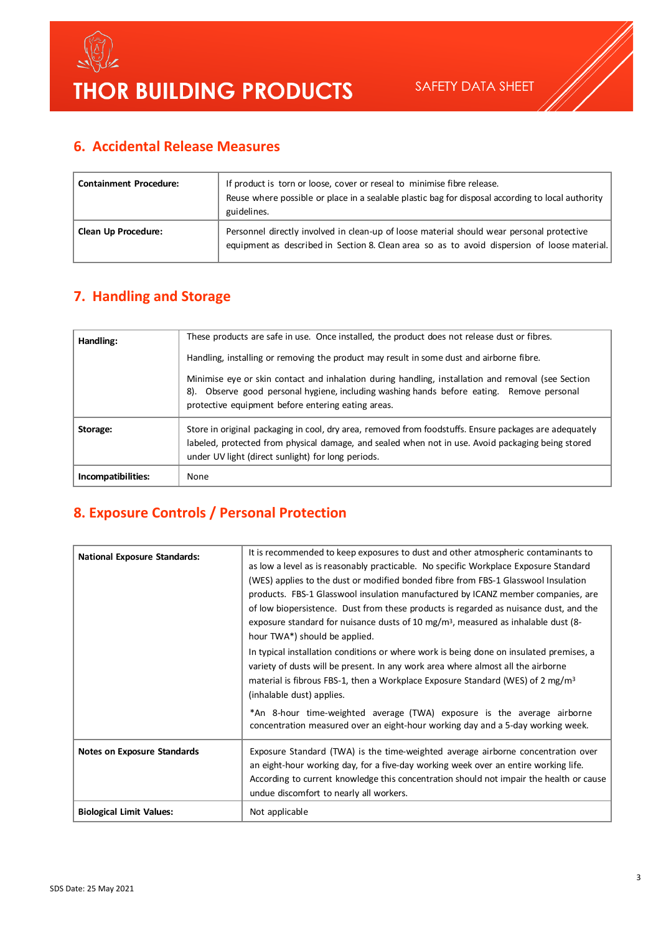

## **6. Accidental Release Measures**

| <b>Containment Procedure:</b> | If product is torn or loose, cover or reseal to minimise fibre release.<br>Reuse where possible or place in a sealable plastic bag for disposal according to local authority<br>guidelines. |
|-------------------------------|---------------------------------------------------------------------------------------------------------------------------------------------------------------------------------------------|
| <b>Clean Up Procedure:</b>    | Personnel directly involved in clean-up of loose material should wear personal protective<br>equipment as described in Section 8. Clean area so as to avoid dispersion of loose material.   |

### **7. Handling and Storage**

| Handling:          | These products are safe in use. Once installed, the product does not release dust or fibres.                                                                                                                                                                      |
|--------------------|-------------------------------------------------------------------------------------------------------------------------------------------------------------------------------------------------------------------------------------------------------------------|
|                    | Handling, installing or removing the product may result in some dust and airborne fibre.                                                                                                                                                                          |
|                    | Minimise eye or skin contact and inhalation during handling, installation and removal (see Section<br>8). Observe good personal hygiene, including washing hands before eating. Remove personal<br>protective equipment before entering eating areas.             |
| Storage:           | Store in original packaging in cool, dry area, removed from foodstuffs. Ensure packages are adequately<br>labeled, protected from physical damage, and sealed when not in use. Avoid packaging being stored<br>under UV light (direct sunlight) for long periods. |
| Incompatibilities: | None                                                                                                                                                                                                                                                              |

## **8. Exposure Controls / Personal Protection**

| It is recommended to keep exposures to dust and other atmospheric contaminants to                                                                          |
|------------------------------------------------------------------------------------------------------------------------------------------------------------|
| as low a level as is reasonably practicable. No specific Workplace Exposure Standard                                                                       |
| (WES) applies to the dust or modified bonded fibre from FBS-1 Glasswool Insulation                                                                         |
| products. FBS-1 Glasswool insulation manufactured by ICANZ member companies, are                                                                           |
| of low biopersistence. Dust from these products is regarded as nuisance dust, and the                                                                      |
| exposure standard for nuisance dusts of 10 mg/m <sup>3</sup> , measured as inhalable dust (8-                                                              |
| hour TWA*) should be applied.                                                                                                                              |
| In typical installation conditions or where work is being done on insulated premises, a                                                                    |
| variety of dusts will be present. In any work area where almost all the airborne                                                                           |
| material is fibrous FBS-1, then a Workplace Exposure Standard (WES) of 2 mg/m <sup>3</sup>                                                                 |
| (inhalable dust) applies.                                                                                                                                  |
| *An 8-hour time-weighted average (TWA) exposure is the average airborne<br>concentration measured over an eight-hour working day and a 5-day working week. |
| Exposure Standard (TWA) is the time-weighted average airborne concentration over                                                                           |
| an eight-hour working day, for a five-day working week over an entire working life.                                                                        |
| According to current knowledge this concentration should not impair the health or cause                                                                    |
| undue discomfort to nearly all workers.                                                                                                                    |
| Not applicable                                                                                                                                             |
|                                                                                                                                                            |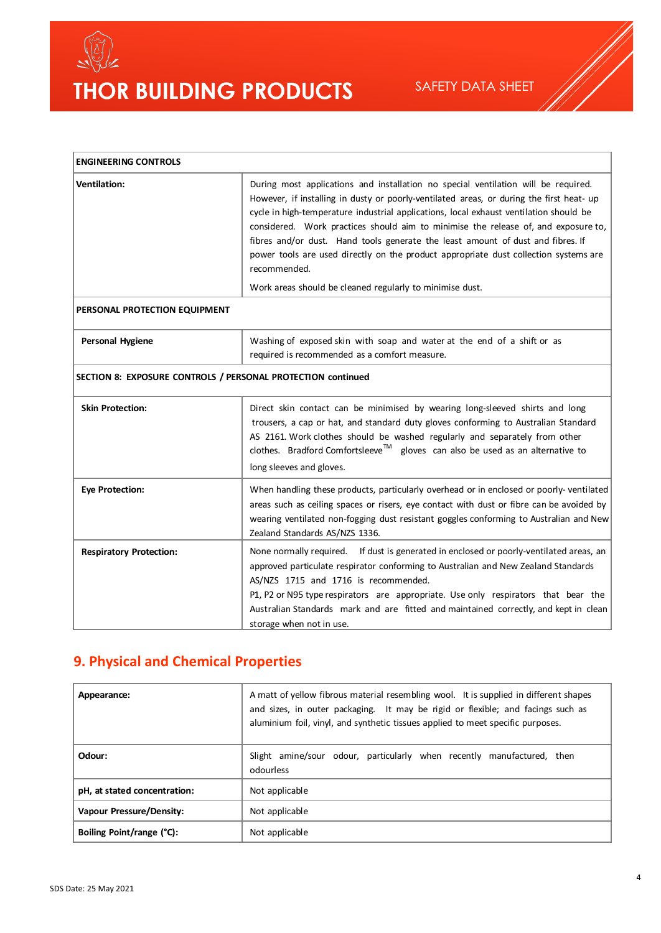

# THOR BUILDING PRODUCTS

| <b>ENGINEERING CONTROLS</b>    |                                                                                                                                                                                                                                                                                                                                                                                                                                                                                                                                                           |  |
|--------------------------------|-----------------------------------------------------------------------------------------------------------------------------------------------------------------------------------------------------------------------------------------------------------------------------------------------------------------------------------------------------------------------------------------------------------------------------------------------------------------------------------------------------------------------------------------------------------|--|
| <b>Ventilation:</b>            | During most applications and installation no special ventilation will be required.<br>However, if installing in dusty or poorly-ventilated areas, or during the first heat- up<br>cycle in high-temperature industrial applications, local exhaust ventilation should be<br>considered. Work practices should aim to minimise the release of, and exposure to,<br>fibres and/or dust. Hand tools generate the least amount of dust and fibres. If<br>power tools are used directly on the product appropriate dust collection systems are<br>recommended. |  |
|                                | Work areas should be cleaned regularly to minimise dust.                                                                                                                                                                                                                                                                                                                                                                                                                                                                                                  |  |
| PERSONAL PROTECTION EQUIPMENT  |                                                                                                                                                                                                                                                                                                                                                                                                                                                                                                                                                           |  |
| <b>Personal Hygiene</b>        | Washing of exposed skin with soap and water at the end of a shift or as<br>required is recommended as a comfort measure.                                                                                                                                                                                                                                                                                                                                                                                                                                  |  |
|                                | SECTION 8: EXPOSURE CONTROLS / PERSONAL PROTECTION continued                                                                                                                                                                                                                                                                                                                                                                                                                                                                                              |  |
| <b>Skin Protection:</b>        | Direct skin contact can be minimised by wearing long-sleeved shirts and long<br>trousers, a cap or hat, and standard duty gloves conforming to Australian Standard<br>AS 2161. Work clothes should be washed regularly and separately from other<br>clothes. Bradford Comfortsleeve <sup>™</sup> gloves can also be used as an alternative to<br>long sleeves and gloves.                                                                                                                                                                                 |  |
| <b>Eye Protection:</b>         | When handling these products, particularly overhead or in enclosed or poorly-ventilated<br>areas such as ceiling spaces or risers, eye contact with dust or fibre can be avoided by<br>wearing ventilated non-fogging dust resistant goggles conforming to Australian and New<br>Zealand Standards AS/NZS 1336.                                                                                                                                                                                                                                           |  |
| <b>Respiratory Protection:</b> | None normally required.<br>If dust is generated in enclosed or poorly-ventilated areas, an<br>approved particulate respirator conforming to Australian and New Zealand Standards<br>AS/NZS 1715 and 1716 is recommended.<br>P1, P2 or N95 type respirators are appropriate. Use only respirators that bear the<br>Australian Standards mark and are fitted and maintained correctly, and kept in clean<br>storage when not in use.                                                                                                                        |  |

### **9. Physical and Chemical Properties**

| Appearance:                  | A matt of yellow fibrous material resembling wool. It is supplied in different shapes<br>and sizes, in outer packaging. It may be rigid or flexible; and facings such as<br>aluminium foil, vinyl, and synthetic tissues applied to meet specific purposes. |
|------------------------------|-------------------------------------------------------------------------------------------------------------------------------------------------------------------------------------------------------------------------------------------------------------|
| Odour:                       | Slight amine/sour odour, particularly when recently manufactured, then<br>odourless                                                                                                                                                                         |
| pH, at stated concentration: | Not applicable                                                                                                                                                                                                                                              |
| Vapour Pressure/Density:     | Not applicable                                                                                                                                                                                                                                              |
| Boiling Point/range (°C):    | Not applicable                                                                                                                                                                                                                                              |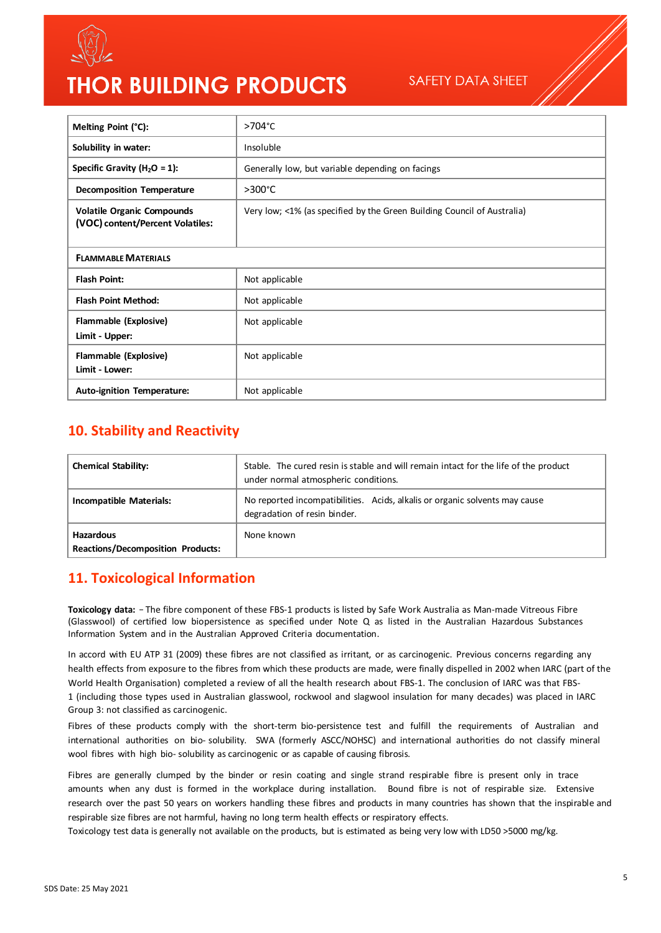

# **THOR BUILDING PRODUCTS**

SAFETY DATA SHEET

| Melting Point (°C):                                                   | >704°C                                                                  |
|-----------------------------------------------------------------------|-------------------------------------------------------------------------|
| Solubility in water:                                                  | Insoluble                                                               |
| Specific Gravity ( $H_2O = 1$ ):                                      | Generally low, but variable depending on facings                        |
| <b>Decomposition Temperature</b>                                      | $>300^{\circ}$ C                                                        |
| <b>Volatile Organic Compounds</b><br>(VOC) content/Percent Volatiles: | Very low; <1% (as specified by the Green Building Council of Australia) |
| <b>FLAMMABLE MATERIALS</b>                                            |                                                                         |
| <b>Flash Point:</b>                                                   | Not applicable                                                          |
| <b>Flash Point Method:</b>                                            | Not applicable                                                          |
| Flammable (Explosive)<br>Limit - Upper:                               | Not applicable                                                          |
| Flammable (Explosive)<br>Limit - Lower:                               | Not applicable                                                          |
| <b>Auto-ignition Temperature:</b>                                     | Not applicable                                                          |

#### **10. Stability and Reactivity**

| <b>Chemical Stability:</b>                                   | Stable. The cured resin is stable and will remain intact for the life of the product<br>under normal atmospheric conditions. |
|--------------------------------------------------------------|------------------------------------------------------------------------------------------------------------------------------|
| Incompatible Materials:                                      | No reported incompatibilities. Acids, alkalis or organic solvents may cause<br>degradation of resin binder.                  |
| <b>Hazardous</b><br><b>Reactions/Decomposition Products:</b> | None known                                                                                                                   |

#### **11. Toxicological Information**

Toxicology data: - The fibre component of these FBS-1 products is listed by Safe Work Australia as Man-made Vitreous Fibre (Glasswool) of certified low biopersistence as specified under Note Q as listed in the Australian Hazardous Substances Information System and in the Australian Approved Criteria documentation.

In accord with EU ATP 31 (2009) these fibres are not classified as irritant, or as carcinogenic. Previous concerns regarding any health effects from exposure to the fibres from which these products are made, were finally dispelled in 2002 when IARC (part of the World Health Organisation) completed a review of all the health research about FBS-1. The conclusion of IARC was that FBS-1 (including those types used in Australian glasswool, rockwool and slagwool insulation for many decades) was placed in IARC Group 3: not classified as carcinogenic.

Fibres of these products comply with the short-term bio-persistence test and fulfill the requirements of Australian and international authorities on bio- solubility. SWA (formerly ASCC/NOHSC) and international authorities do not classify mineral wool fibres with high bio- solubility as carcinogenic or as capable of causing fibrosis.

Fibres are generally clumped by the binder or resin coating and single strand respirable fibre is present only in trace amounts when any dust is formed in the workplace during installation. Bound fibre is not of respirable size. Extensive research over the past 50 years on workers handling these fibres and products in many countries has shown that the inspirable and respirable size fibres are not harmful, having no long term health effects or respiratory effects.

Toxicology test data is generally not available on the products, but is estimated as being very low with LD50 >5000 mg/kg.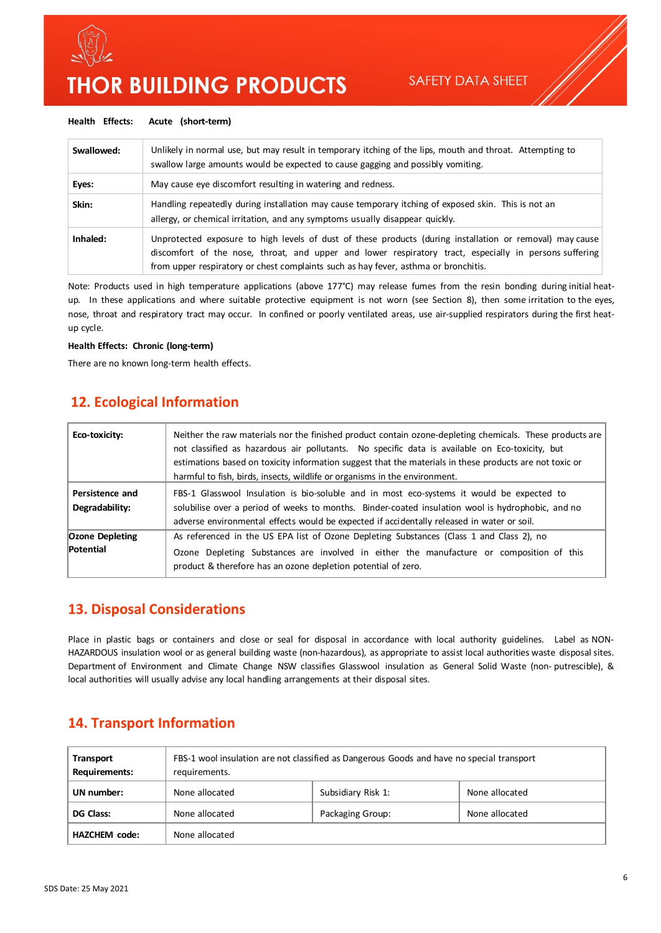

# **THOR BUILDING PRODUCTS**

#### **Health Effects: Acute (short-term)**

| Swallowed: | Unlikely in normal use, but may result in temporary itching of the lips, mouth and throat. Attempting to<br>swallow large amounts would be expected to cause gagging and possibly vomiting.                                                                                                               |
|------------|-----------------------------------------------------------------------------------------------------------------------------------------------------------------------------------------------------------------------------------------------------------------------------------------------------------|
| Eyes:      | May cause eye discomfort resulting in watering and redness.                                                                                                                                                                                                                                               |
| Skin:      | Handling repeatedly during installation may cause temporary itching of exposed skin. This is not an<br>allergy, or chemical irritation, and any symptoms usually disappear quickly.                                                                                                                       |
| Inhaled:   | Unprotected exposure to high levels of dust of these products (during installation or removal) may cause<br>discomfort of the nose, throat, and upper and lower respiratory tract, especially in persons suffering<br>from upper respiratory or chest complaints such as hay fever, asthma or bronchitis. |

Note: Products used in high temperature applications (above 177°C) may release fumes from the resin bonding during initial heatup. In these applications and where suitable protective equipment is not worn (see Section 8), then some irritation to the eyes, nose, throat and respiratory tract may occur. In confined or poorly ventilated areas, use air-supplied respirators during the first heatup cycle.

#### **Health Effects: Chronic (long-term)**

There are no known long-term health effects.

#### I**12. Ecological Information**

| Eco-toxicity:                       | Neither the raw materials nor the finished product contain ozone-depleting chemicals. These products are<br>not classified as hazardous air pollutants. No specific data is available on Eco-toxicity, but<br>estimations based on toxicity information suggest that the materials in these products are not toxic or<br>harmful to fish, birds, insects, wildlife or organisms in the environment. |
|-------------------------------------|-----------------------------------------------------------------------------------------------------------------------------------------------------------------------------------------------------------------------------------------------------------------------------------------------------------------------------------------------------------------------------------------------------|
| Persistence and<br>Degradability:   | FBS-1 Glasswool Insulation is bio-soluble and in most eco-systems it would be expected to<br>solubilise over a period of weeks to months. Binder-coated insulation wool is hydrophobic, and no<br>adverse environmental effects would be expected if accidentally released in water or soil.                                                                                                        |
| <b>Ozone Depleting</b><br>Potential | As referenced in the US EPA list of Ozone Depleting Substances (Class 1 and Class 2), no<br>Ozone Depleting Substances are involved in either the manufacture or composition of this<br>product & therefore has an ozone depletion potential of zero.                                                                                                                                               |

#### **13. Disposal Considerations**

Place in plastic bags or containers and close or seal for disposal in accordance with local authority guidelines. Label as NON-HAZARDOUS insulation wool or as general building waste (non-hazardous), as appropriate to assist local authorities waste disposal sites. Department of Environment and Climate Change NSW classifies Glasswool insulation as General Solid Waste (non- putrescible), & local authorities will usually advise any local handling arrangements at their disposal sites.

#### **14. Transport Information**

| <b>Transport</b><br><b>Requirements:</b> | FBS-1 wool insulation are not classified as Dangerous Goods and have no special transport<br>requirements. |                    |                |
|------------------------------------------|------------------------------------------------------------------------------------------------------------|--------------------|----------------|
| UN number:                               | None allocated                                                                                             | Subsidiary Risk 1: | None allocated |
| DG Class:                                | None allocated                                                                                             | Packaging Group:   | None allocated |
| <b>HAZCHEM</b> code:                     | None allocated                                                                                             |                    |                |